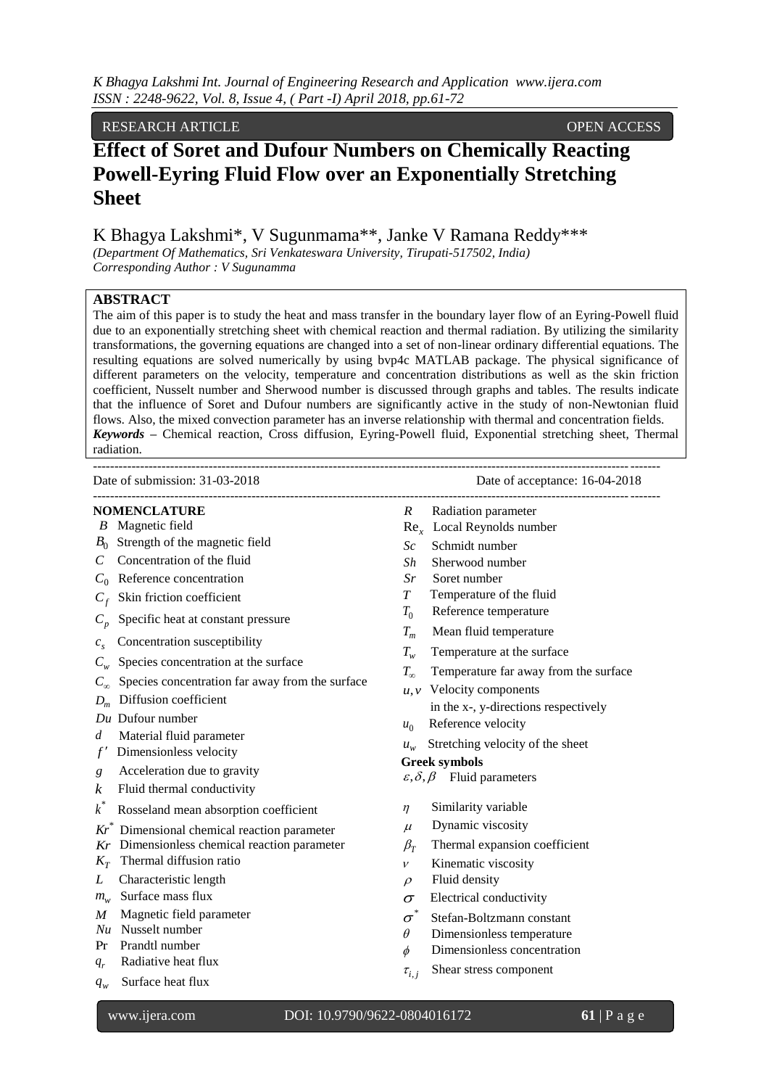# RESEARCH ARTICLE OPEN ACCESS

# **Effect of Soret and Dufour Numbers on Chemically Reacting Powell-Eyring Fluid Flow over an Exponentially Stretching Sheet**

K Bhagya Lakshmi\*, V Sugunmama\*\*, Janke V Ramana Reddy\*\*\*

*(Department Of Mathematics, Sri Venkateswara University, Tirupati-517502, India) Corresponding Author : V Sugunamma*

### **ABSTRACT**

The aim of this paper is to study the heat and mass transfer in the boundary layer flow of an Eyring-Powell fluid due to an exponentially stretching sheet with chemical reaction and thermal radiation. By utilizing the similarity transformations, the governing equations are changed into a set of non-linear ordinary differential equations. The resulting equations are solved numerically by using bvp4c MATLAB package. The physical significance of different parameters on the velocity, temperature and concentration distributions as well as the skin friction coefficient, Nusselt number and Sherwood number is discussed through graphs and tables. The results indicate that the influence of Soret and Dufour numbers are significantly active in the study of non-Newtonian fluid flows. Also, the mixed convection parameter has an inverse relationship with thermal and concentration fields. *Keywords* **–** Chemical reaction, Cross diffusion, Eyring-Powell fluid, Exponential stretching sheet, Thermal radiation.

| Date of submission: 31-03-2018                                                                                                                                                                                                                                                                                                                                                                                                                                                                                                                                 | Date of acceptance: 16-04-2018                                                                                                                                                                                                                                                                                                                                                                                                                                                                                                                           |
|----------------------------------------------------------------------------------------------------------------------------------------------------------------------------------------------------------------------------------------------------------------------------------------------------------------------------------------------------------------------------------------------------------------------------------------------------------------------------------------------------------------------------------------------------------------|----------------------------------------------------------------------------------------------------------------------------------------------------------------------------------------------------------------------------------------------------------------------------------------------------------------------------------------------------------------------------------------------------------------------------------------------------------------------------------------------------------------------------------------------------------|
| <b>NOMENCLATURE</b><br><b>B</b> Magnetic field<br>$B_0$ Strength of the magnetic field<br>Concentration of the fluid<br>$\mathcal{C}$<br>$C_0$ Reference concentration<br>Skin friction coefficient<br>$C_f$<br>Specific heat at constant pressure<br>$C_p$<br>Concentration susceptibility<br>$c_{\rm c}$<br>$C_w$ Species concentration at the surface<br>Species concentration far away from the surface<br>$C_{\infty}$<br>Diffusion coefficient<br>$D_m$<br>$Du$ Dufour number<br>Material fluid parameter<br>d<br>Dimensionless velocity<br>$f^{\prime}$ | _____________________________<br>$R$ Radiation parameter<br>$\text{Re}_{x}$ Local Reynolds number<br>Sc<br>Schmidt number<br>Sherwood number<br>Sh<br>Soret number<br>Sr<br>Temperature of the fluid<br>$T_{\parallel}$<br>Reference temperature<br>$T_0$<br>Mean fluid temperature<br>$T_m$<br>$T_{w}$<br>Temperature at the surface<br>$T_{\infty}$<br>Temperature far away from the surface<br>Velocity components<br>u, v<br>in the x-, y-directions respectively<br>Reference velocity<br>$u_0$<br>Stretching velocity of the sheet<br>$u_{\mu\nu}$ |
| Acceleration due to gravity<br>g<br>Fluid thermal conductivity<br>k                                                                                                                                                                                                                                                                                                                                                                                                                                                                                            | <b>Greek symbols</b><br>$\varepsilon, \delta, \beta$ Fluid parameters                                                                                                                                                                                                                                                                                                                                                                                                                                                                                    |
| $k^*$<br>Rosseland mean absorption coefficient<br>$Kr^*$<br>Dimensional chemical reaction parameter<br>Dimensionless chemical reaction parameter<br>Kr<br>Thermal diffusion ratio<br>$K_T$<br>Characteristic length<br>L<br>$m_w$ Surface mass flux                                                                                                                                                                                                                                                                                                            | Similarity variable<br>$\eta$<br>Dynamic viscosity<br>$\mu$<br>Thermal expansion coefficient<br>$\beta_T$<br>Kinematic viscosity<br>v<br>Fluid density<br>$\rho$<br>Electrical conductivity<br>σ                                                                                                                                                                                                                                                                                                                                                         |
| Magnetic field parameter<br>M<br>$Nu$ Nusselt number<br>Pr Prandtl number<br>Radiative heat flux<br>$q_r$<br>Surface heat flux<br>$q_w$                                                                                                                                                                                                                                                                                                                                                                                                                        | Stefan-Boltzmann constant<br>$\sigma$<br>Dimensionless temperature<br>$\theta$<br>Dimensionless concentration<br>$\phi$<br>Shear stress component<br>$\tau_{i,j}$                                                                                                                                                                                                                                                                                                                                                                                        |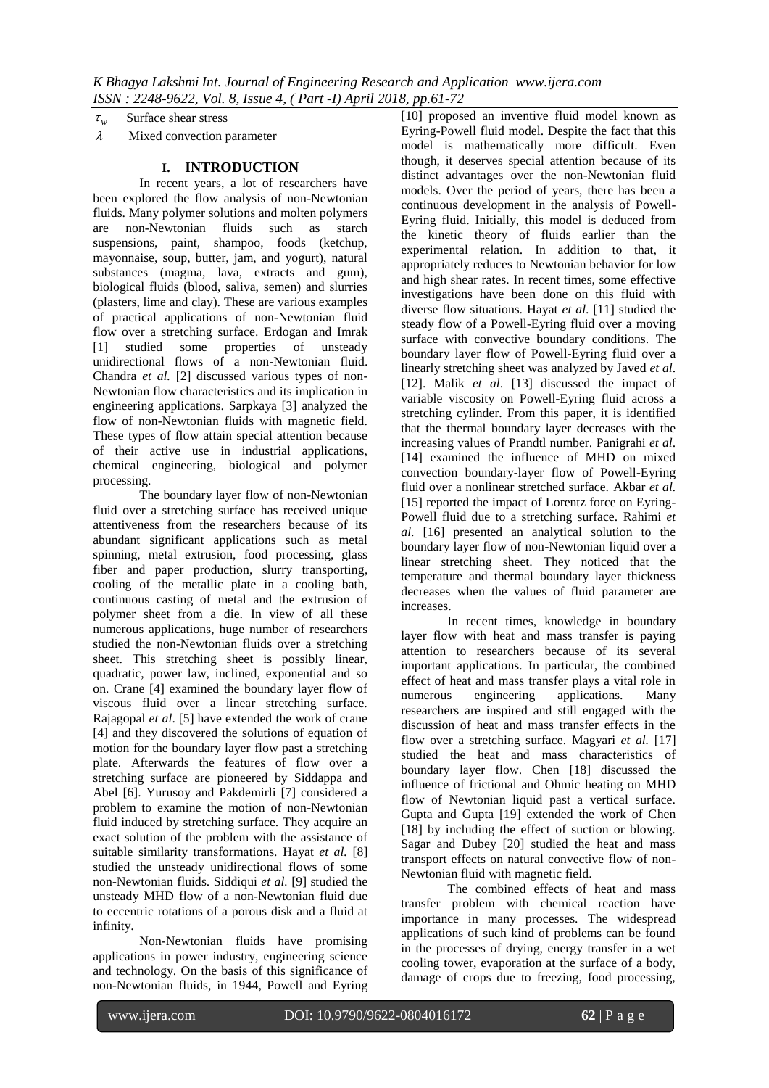$\tau_w$ Surface shear stress

 $\lambda$  Mixed convection parameter

## **I. INTRODUCTION**

In recent years, a lot of researchers have been explored the flow analysis of non-Newtonian fluids. Many polymer solutions and molten polymers are non-Newtonian fluids such as starch suspensions, paint, shampoo, foods (ketchup, mayonnaise, soup, butter, jam, and yogurt), natural substances (magma, lava, extracts and gum), biological fluids (blood, saliva, semen) and slurries (plasters, lime and clay). These are various examples of practical applications of non-Newtonian fluid flow over a stretching surface. Erdogan and Imrak [1] studied some properties of unsteady unidirectional flows of a non-Newtonian fluid. Chandra *et al.* [2] discussed various types of non-Newtonian flow characteristics and its implication in engineering applications. Sarpkaya [3] analyzed the flow of non-Newtonian fluids with magnetic field. These types of flow attain special attention because of their active use in industrial applications, chemical engineering, biological and polymer processing.

The boundary layer flow of non-Newtonian fluid over a stretching surface has received unique attentiveness from the researchers because of its abundant significant applications such as metal spinning, metal extrusion, food processing, glass fiber and paper production, slurry transporting, cooling of the metallic plate in a cooling bath, continuous casting of metal and the extrusion of polymer sheet from a die. In view of all these numerous applications, huge number of researchers studied the non-Newtonian fluids over a stretching sheet. This stretching sheet is possibly linear, quadratic, power law, inclined, exponential and so on. Crane [4] examined the boundary layer flow of viscous fluid over a linear stretching surface. Rajagopal *et al*. [5] have extended the work of crane [4] and they discovered the solutions of equation of motion for the boundary layer flow past a stretching plate. Afterwards the features of flow over a stretching surface are pioneered by Siddappa and Abel [6]. Yurusoy and Pakdemirli [7] considered a problem to examine the motion of non-Newtonian fluid induced by stretching surface. They acquire an exact solution of the problem with the assistance of suitable similarity transformations. Hayat *et al.* [8] studied the unsteady unidirectional flows of some non-Newtonian fluids. Siddiqui *et al.* [9] studied the unsteady MHD flow of a non-Newtonian fluid due to eccentric rotations of a porous disk and a fluid at infinity.

Non-Newtonian fluids have promising applications in power industry, engineering science and technology. On the basis of this significance of non-Newtonian fluids, in 1944, Powell and Eyring

[10] proposed an inventive fluid model known as Eyring-Powell fluid model. Despite the fact that this model is mathematically more difficult. Even though, it deserves special attention because of its distinct advantages over the non-Newtonian fluid models. Over the period of years, there has been a continuous development in the analysis of Powell-Eyring fluid. Initially, this model is deduced from the kinetic theory of fluids earlier than the experimental relation. In addition to that, it appropriately reduces to Newtonian behavior for low and high shear rates. In recent times, some effective investigations have been done on this fluid with diverse flow situations. Hayat *et al*. [11] studied the steady flow of a Powell-Eyring fluid over a moving surface with convective boundary conditions. The boundary layer flow of Powell-Eyring fluid over a linearly stretching sheet was analyzed by Javed *et al*. [12]. Malik *et al*. [13] discussed the impact of variable viscosity on Powell-Eyring fluid across a stretching cylinder. From this paper, it is identified that the thermal boundary layer decreases with the increasing values of Prandtl number. Panigrahi *et al*. [14] examined the influence of MHD on mixed convection boundary-layer flow of Powell-Eyring fluid over a nonlinear stretched surface. Akbar *et al.*  [15] reported the impact of Lorentz force on Eyring-Powell fluid due to a stretching surface. Rahimi *et al*. [16] presented an analytical solution to the boundary layer flow of non-Newtonian liquid over a linear stretching sheet. They noticed that the temperature and thermal boundary layer thickness decreases when the values of fluid parameter are increases.

In recent times, knowledge in boundary layer flow with heat and mass transfer is paying attention to researchers because of its several important applications. In particular, the combined effect of heat and mass transfer plays a vital role in numerous engineering applications. Many researchers are inspired and still engaged with the discussion of heat and mass transfer effects in the flow over a stretching surface. Magyari *et al.* [17] studied the heat and mass characteristics of boundary layer flow. Chen [18] discussed the influence of frictional and Ohmic heating on MHD flow of Newtonian liquid past a vertical surface. Gupta and Gupta [19] extended the work of Chen [18] by including the effect of suction or blowing. Sagar and Dubey [20] studied the heat and mass transport effects on natural convective flow of non-Newtonian fluid with magnetic field.

The combined effects of heat and mass transfer problem with chemical reaction have importance in many processes. The widespread applications of such kind of problems can be found in the processes of drying, energy transfer in a wet cooling tower, evaporation at the surface of a body, damage of crops due to freezing, food processing,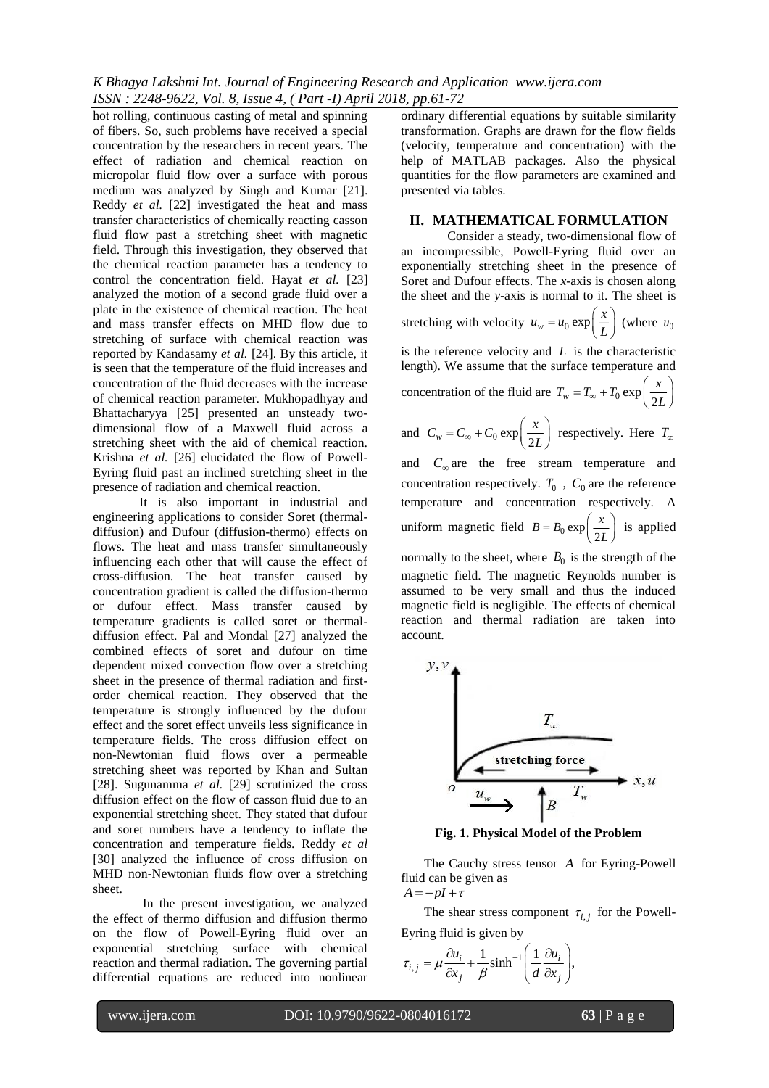*K Bhagya Lakshmi Int. Journal of Engineering Research and Application www.ijera.com ISSN : 2248-9622, Vol. 8, Issue 4, ( Part -I) April 2018, pp.61-72*

hot rolling, continuous casting of metal and spinning of fibers. So, such problems have received a special concentration by the researchers in recent years. The effect of radiation and chemical reaction on micropolar fluid flow over a surface with porous medium was analyzed by Singh and Kumar [21]. Reddy *et al.* [22] investigated the heat and mass transfer characteristics of chemically reacting casson fluid flow past a stretching sheet with magnetic field. Through this investigation, they observed that the chemical reaction parameter has a tendency to control the concentration field. Hayat *et al.* [23] analyzed the motion of a second grade fluid over a plate in the existence of chemical reaction. The heat and mass transfer effects on MHD flow due to stretching of surface with chemical reaction was reported by Kandasamy *et al.* [24]. By this article, it is seen that the temperature of the fluid increases and concentration of the fluid decreases with the increase of chemical reaction parameter. Mukhopadhyay and Bhattacharyya [25] presented an unsteady twodimensional flow of a Maxwell fluid across a stretching sheet with the aid of chemical reaction. Krishna *et al.* [26] elucidated the flow of Powell-Eyring fluid past an inclined stretching sheet in the presence of radiation and chemical reaction.

It is also important in industrial and engineering applications to consider Soret (thermaldiffusion) and Dufour (diffusion-thermo) effects on flows. The heat and mass transfer simultaneously influencing each other that will cause the effect of cross-diffusion. The heat transfer caused by concentration gradient is called the diffusion-thermo or dufour effect. Mass transfer caused by temperature gradients is called soret or thermaldiffusion effect. Pal and Mondal [27] analyzed the combined effects of soret and dufour on time dependent mixed convection flow over a stretching sheet in the presence of thermal radiation and firstorder chemical reaction. They observed that the temperature is strongly influenced by the dufour effect and the soret effect unveils less significance in temperature fields. The cross diffusion effect on non-Newtonian fluid flows over a permeable stretching sheet was reported by Khan and Sultan [28]. Sugunamma *et al.* [29] scrutinized the cross diffusion effect on the flow of casson fluid due to an exponential stretching sheet. They stated that dufour and soret numbers have a tendency to inflate the concentration and temperature fields. Reddy *et al* [30] analyzed the influence of cross diffusion on MHD non-Newtonian fluids flow over a stretching sheet.

In the present investigation, we analyzed the effect of thermo diffusion and diffusion thermo on the flow of Powell-Eyring fluid over an exponential stretching surface with chemical reaction and thermal radiation. The governing partial differential equations are reduced into nonlinear

ordinary differential equations by suitable similarity transformation. Graphs are drawn for the flow fields (velocity, temperature and concentration) with the help of MATLAB packages. Also the physical quantities for the flow parameters are examined and presented via tables.

#### **II. MATHEMATICAL FORMULATION**

Consider a steady, two-dimensional flow of an incompressible, Powell-Eyring fluid over an exponentially stretching sheet in the presence of Soret and Dufour effects. The *x*-axis is chosen along the sheet and the *y*-axis is normal to it. The sheet is stretching with velocity  $u_w = u_0 \exp\left(\frac{x}{L}\right)$  $= u_0 \exp\left(\frac{x}{L}\right)$  (where  $u_0$ is the reference velocity and *L* is the characteristic length). We assume that the surface temperature and concentration of the fluid are  $T_w = T_\infty + T_0 \exp\left(-\frac{1}{2}\right)$  $T_w = T_\infty + T_0 \exp\left(\frac{x}{2L}\right)$  $=T_{\infty}+T_0 \exp\left(\frac{x}{2L}\right)$ and  $C_w = C_{\infty} + C_0 \exp\left(\frac{\pi}{2}\right)$  $C_w = C_\infty + C_0 \exp\left(\frac{x}{2L}\right)$  $= C_{\infty} + C_0 \exp\left(\frac{x}{2L}\right)$  respectively. Here  $T_{\infty}$ and  $C_{\infty}$  are the free stream temperature and concentration respectively.  $T_0$ ,  $C_0$  are the reference temperature and concentration respectively. A uniform magnetic field  $B = B_0 \exp\left(\frac{B_0}{2}\right)$  $B = B_0 \exp\left(\frac{x}{2L}\right)$  $= B_0 \exp\left(\frac{x}{2L}\right)$  is applied normally to the sheet, where  $B_0$  is the strength of the

magnetic field. The magnetic Reynolds number is assumed to be very small and thus the induced magnetic field is negligible. The effects of chemical reaction and thermal radiation are taken into account.



**Fig. 1. Physical Model of the Problem**

The Cauchy stress tensor *A* for Eyring-Powell fluid can be given as  $A = -pI + \tau$ 

The shear stress component  $\tau_{i,j}$  for the Powell-Eyring fluid is given by

$$
\tau_{i,j} = \mu \frac{\partial u_i}{\partial x_j} + \frac{1}{\beta} \sinh^{-1} \left( \frac{1}{d} \frac{\partial u_i}{\partial x_j} \right),
$$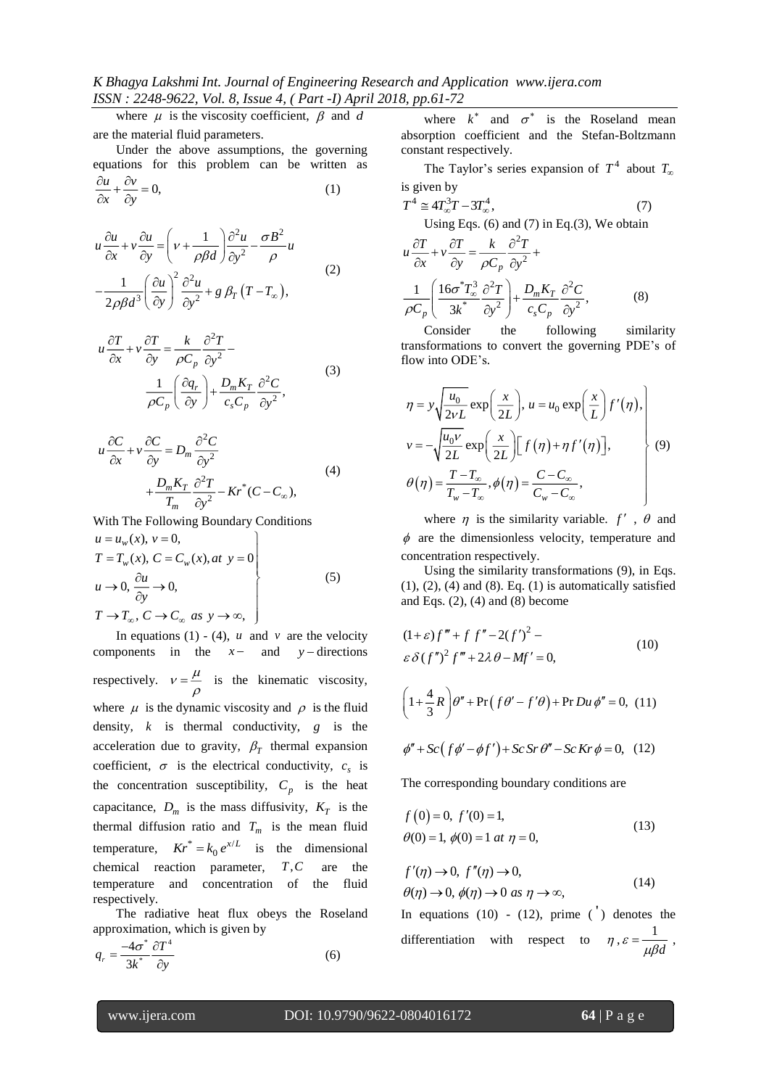*K Bhagya Lakshmi Int. Journal of Engineering Research and Application www.ijera.com ISSN : 2248-9622, Vol. 8, Issue 4, ( Part -I) April 2018, pp.61-72*

where  $\mu$  is the viscosity coefficient,  $\beta$  and  $d$ are the material fluid parameters.

Under the above assumptions, the governing equations for this problem can be written as  $\frac{u}{-} + \frac{cv}{2} = 0$ ,  $\frac{\partial u}{\partial x} + \frac{\partial v}{\partial y} =$ (1)

$$
u \frac{\partial u}{\partial x} + v \frac{\partial u}{\partial y} = \left( v + \frac{1}{\rho \beta d} \right) \frac{\partial^2 u}{\partial y^2} - \frac{\sigma B^2}{\rho} u
$$
  

$$
- \frac{1}{2\rho \beta d^3} \left( \frac{\partial u}{\partial y} \right)^2 \frac{\partial^2 u}{\partial y^2} + g \beta_T (T - T_\infty),
$$
 (2)

*x y*

$$
u \frac{\partial T}{\partial x} + v \frac{\partial T}{\partial y} = \frac{k}{\rho C_p} \frac{\partial^2 T}{\partial y^2} -
$$
  

$$
\frac{1}{\rho C_p} \left( \frac{\partial q_r}{\partial y} \right) + \frac{D_m K_T}{c_s C_p} \frac{\partial^2 C}{\partial y^2},
$$
(3)

$$
u\frac{\partial C}{\partial x} + v\frac{\partial C}{\partial y} = D_m \frac{\partial^2 C}{\partial y^2} + \frac{D_m K_T}{T_m} \frac{\partial^2 T}{\partial y^2} - Kr^*(C - C_\infty),
$$
\n(4)

With The Following Boundary Conditions

$$
u = u_w(x), v = 0,
$$
  
\n
$$
T = T_w(x), C = C_w(x), at y = 0
$$
  
\n
$$
u \to 0, \frac{\partial u}{\partial y} \to 0,
$$
  
\n
$$
T \to T_{\infty}, C \to C_{\infty} \text{ as } y \to \infty,
$$
\n(5)

In equations  $(1) - (4)$ , *u* and *v* are the velocity components in the  $x-$  and  $y-$  directions respectively.  $v = \frac{\mu}{\epsilon}$  is the kinematic viscosity,  $\rho$ where  $\mu$  is the dynamic viscosity and  $\rho$  is the fluid density,  $k$  is thermal conductivity,  $g$  is the acceleration due to gravity,  $\beta_T$  thermal expansion coefficient,  $\sigma$  is the electrical conductivity,  $c_s$  is the concentration susceptibility,  $C_p$  is the heat capacitance,  $D_m$  is the mass diffusivity,  $K_T$  is the thermal diffusion ratio and  $T_m$  is the mean fluid temperature,  $Kr^* = k_0 e^{x/L}$  is the dimensional chemical reaction parameter,  $T, C$ are the temperature and concentration of the fluid respectively.

The radiative heat flux obeys the Roseland approximation, which is given by

$$
q_r = \frac{-4\sigma^*}{3k^*} \frac{\partial T^4}{\partial y} \tag{6}
$$

where  $k^*$  and  $\sigma^*$  is the Roseland mean absorption coefficient and the Stefan-Boltzmann constant respectively.

The Taylor's series expansion of  $T^4$  about  $T_{\alpha}$ is given by

$$
T^{4} \approx 4T_{\infty}^{3}T - 3T_{\infty}^{4},
$$
\nUsing Eqs. (6) and (7) in Eq.(3), We obtain

\n
$$
u \frac{\partial T}{\partial x} + v \frac{\partial T}{\partial y} = \frac{k}{\rho C_{p}} \frac{\partial^{2} T}{\partial y^{2}} +
$$
\n
$$
\frac{1}{\rho C_{p}} \left( \frac{16\sigma^{*}T_{\infty}^{3}}{3k^{*}} \frac{\partial^{2} T}{\partial y^{2}} \right) + \frac{D_{m}K_{T}}{c_{s}C_{p}} \frac{\partial^{2} C}{\partial y^{2}},
$$
\n(8)

Consider the following similarity transformations to convert the governing PDE's of flow into ODE's.

$$
\eta = y \sqrt{\frac{u_0}{2vL}} \exp\left(\frac{x}{2L}\right), u = u_0 \exp\left(\frac{x}{L}\right) f'(\eta),
$$
  
\n
$$
v = -\sqrt{\frac{u_0 v}{2L}} \exp\left(\frac{x}{2L}\right) [f(\eta) + \eta f'(\eta)],
$$
  
\n
$$
\theta(\eta) = \frac{T - T_{\infty}}{T_w - T_{\infty}}, \phi(\eta) = \frac{C - C_{\infty}}{C_w - C_{\infty}},
$$
\n(9)

where  $\eta$  is the similarity variable.  $f'$ ,  $\theta$  and  $\phi$  are the dimensionless velocity, temperature and concentration respectively.

Using the similarity transformations (9), in Eqs. (1), (2), (4) and (8). Eq. (1) is automatically satisfied and Eqs.  $(2)$ ,  $(4)$  and  $(8)$  become

$$
(1+\varepsilon)f''' + f f'' - 2(f')^2 - \varepsilon \delta(f'')^2 f''' + 2\lambda \theta - Mf' = 0,
$$
\n(10)

$$
\left(1+\frac{4}{3}R\right)\theta'' + \Pr\left(f\theta' - f'\theta\right) + \Pr Du\,\phi'' = 0,\,\,(11)
$$

$$
\phi'' + Sc(f\phi' - \phi f') + Sc\,Sr\,\theta'' - Sc\,Kr\,\phi = 0,\tag{12}
$$

The corresponding boundary conditions are

$$
f(0) = 0, f'(0) = 1,\n\theta(0) = 1, \phi(0) = 1 \text{ at } \eta = 0,
$$
\n(13)

$$
f'(\eta) \to 0, f''(\eta) \to 0,
$$
  
\n
$$
\theta(\eta) \to 0, \phi(\eta) \to 0 \text{ as } \eta \to \infty,
$$
\n(14)

In equations  $(10) - (12)$ , prime  $($ <sup>'</sup> $)$  denotes the differentiation with respect to  $\eta$ ,  $\varepsilon = \frac{1}{6}$  $\varepsilon = \frac{1}{\mu \beta d}$ ,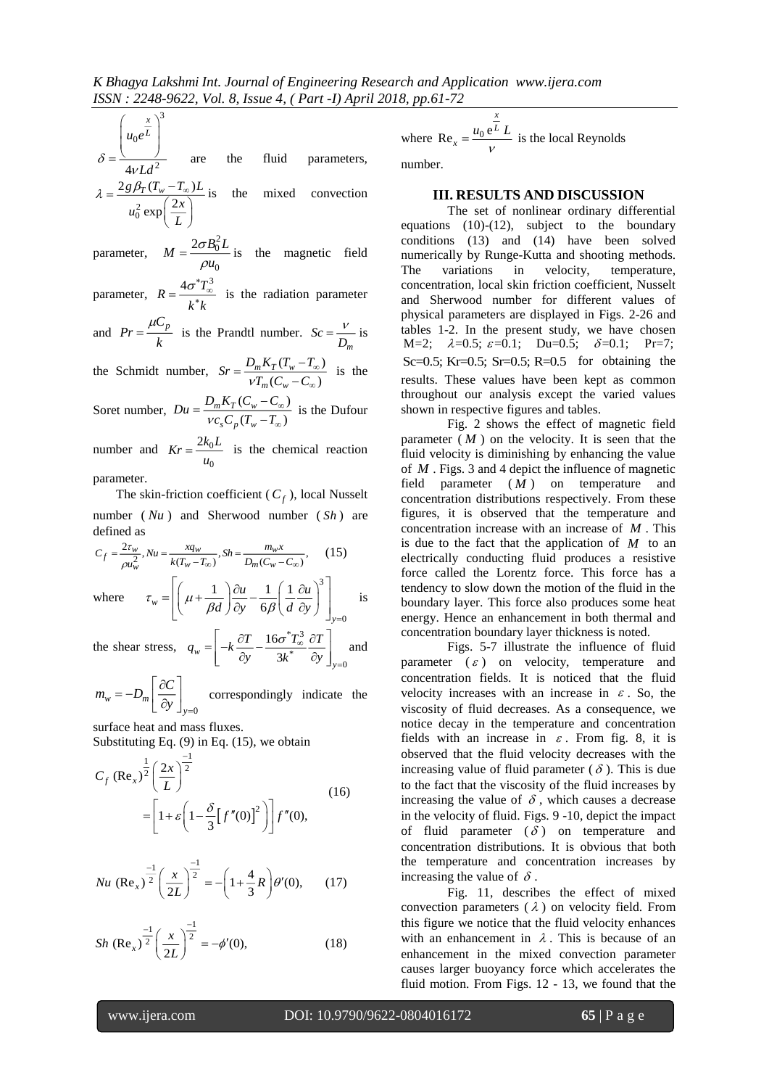$$
\int u_0 e^{\frac{x}{L}}
$$

3

2 4 *Ld*  $\delta = \frac{\left(u_0 e^{\frac{x}{L}}\right)^3}{\left(\frac{x}{L}\right)^2}$  are the fluid parameters, 2 0  $2 g \beta_T (T_w - T_\infty)$ 2 exp  $g\beta_T(T_w-T_\infty)L$  $u_0^2 \exp\left(\frac{2x}{L}\right)$  $\lambda = \frac{2g\beta_T (T_w - T_\infty)L}{u_0^2 \exp\left(\frac{2x}{L}\right)}$  is the mixed convection

parameter, 2 0  $^{\rm o}$  $M = \frac{2 \sigma B_0^2 L}{2}$ *u* σ  $=\frac{-8-6}{\rho u_0}$  is the magnetic field

parameter,  $R = \frac{4\sigma^* T_{\infty}^3}{4\sigma^* T_{\infty}^3}$ *k k*  $=\frac{4\sigma^*T_{\infty}^3}{k^*k}$  is the radiation parameter

and 
$$
Pr = \frac{\mu C_p}{k}
$$
 is the Prandtl number.  $Sc = \frac{V}{D_m}$  is

the Schmidt number,  $Sr = \frac{D_m K_T (T_w - T_{\infty})}{T}$  $(C_w - C_{\infty})$  $m^{11}T^{14}w$ *m w*  $S_r = \frac{D_m K_T (T_w - T_s)}{V T_m (C_w - C_s)}$  $^{\infty}$ w  $=\frac{E_m \Lambda_T (I_w - I_{\infty})}{\nu T_m (C_w - C_{\infty})}$  is the

Soret number,  $Du = \frac{D_m K_T (C_w - C_\infty)}{C \sqrt{T_m - T} \sqrt{T_m}}$  $(T_w - T_\infty)$  $Du = \frac{D_m K_T (C_w - C)}{V c_s C_n (T_w - T_s)}$ *s*  $\cdot$  *p*  $\cdot$  *w*  $\infty$  $\infty$ œ  $=\frac{D_m \kappa_T (C_w - C_\infty)}{V c_s C_n (T_w - T_\infty)}$  is the Dufour

number and  $Kr = \frac{2\pi}{10}$ 0  $Kr = \frac{2k_0 L}{u_0}$  is the chemical reaction parameter.

The skin-friction coefficient ( *Cf* ), local Nusselt number ( *Nu* ) and Sherwood number ( *Sh* ) are defined as

$$
C_f = \frac{2\tau_w}{\rho u_w^2}, Nu = \frac{xq_w}{k(T_w - T_\infty)}, Sh = \frac{m_w x}{D_m(C_w - C_\infty)},
$$
 (15)  
where 
$$
\tau_w = \left[ \left( \mu + \frac{1}{\beta d} \right) \frac{\partial u}{\partial y} - \frac{1}{6\beta} \left( \frac{1}{d} \frac{\partial u}{\partial y} \right)^3 \right]_{y=0} \text{ is}
$$

 $\mathcal{B}$  |  $\mathcal{B}$  |  $\partial y$  6

where

0 *y* the shear stress,  $q_w = -k\frac{\partial T}{\partial s} - \frac{16\sigma^2 T_{\infty}^3}{r^2}$ \* 0 16  $w \mid \partial y \partial$ *y*  $q_w = -k \frac{\partial T}{\partial y} - \frac{16\sigma T_{\infty}^2}{3k^*} \frac{\partial T}{\partial y}$  $=\left[-k\frac{\partial T}{\partial y}-\frac{16\sigma^*T_{\infty}^3}{3k^*}\frac{\partial T}{\partial y}\right]_{y=0}$  and

$$
m_w = -D_m \left[ \frac{\partial C}{\partial y} \right]_{y=0}
$$
 correspondingly indicate the

surface heat and mass fluxes. Substituting Eq. (9) in Eq. (15), we obtain

$$
C_f (\text{Re}_x)^{\frac{1}{2}} \left(\frac{2x}{L}\right)^{\frac{-1}{2}}
$$
  
=  $\left[1 + \varepsilon \left(1 - \frac{\delta}{3} [f''(0)]^2\right)\right] f''(0),$  (16)

$$
Nu\left(\text{Re}_x\right)^{\frac{-1}{2}}\left(\frac{x}{2L}\right)^{\frac{-1}{2}} = -\left(1 + \frac{4}{3}R\right)\theta'(0),\qquad(17)
$$

$$
Sh\left(\text{Re}_x\right)^{\frac{-1}{2}}\left(\frac{x}{2L}\right)^{\frac{-1}{2}} = -\phi'(0),\tag{18}
$$

where  $Re_x = \frac{u_0 e^L}{2}$ *x x*  $=\frac{u_0 e^L L}{2}$  is the local Reynolds V

number.

#### **III. RESULTS AND DISCUSSION**

The set of nonlinear ordinary differential equations (10)-(12), subject to the boundary conditions (13) and (14) have been solved numerically by Runge-Kutta and shooting methods. The variations in velocity, temperature, concentration, local skin friction coefficient, Nusselt and Sherwood number for different values of physical parameters are displayed in Figs. 2-26 and tables 1-2. In the present study, we have chosen M=2;  $\lambda=0.5$ ;  $\varepsilon=0.1$ ; Du=0.5;  $\delta=0.1$ ; Pr=7; Sc=0.5; Kr=0.5; Sr=0.5; R=0.5 for obtaining the results. These values have been kept as common throughout our analysis except the varied values shown in respective figures and tables.

Fig. 2 shows the effect of magnetic field parameter  $(M)$  on the velocity. It is seen that the fluid velocity is diminishing by enhancing the value of *<sup>M</sup>* . Figs. 3 and 4 depict the influence of magnetic field parameter ( *M* ) on temperature and concentration distributions respectively. From these figures, it is observed that the temperature and concentration increase with an increase of *<sup>M</sup>* . This is due to the fact that the application of  $M$  to an electrically conducting fluid produces a resistive force called the Lorentz force. This force has a tendency to slow down the motion of the fluid in the boundary layer. This force also produces some heat energy. Hence an enhancement in both thermal and concentration boundary layer thickness is noted.

Figs. 5-7 illustrate the influence of fluid parameter  $(\varepsilon)$  on velocity, temperature and concentration fields. It is noticed that the fluid velocity increases with an increase in  $\varepsilon$ . So, the viscosity of fluid decreases. As a consequence, we notice decay in the temperature and concentration fields with an increase in  $\varepsilon$ . From fig. 8, it is observed that the fluid velocity decreases with the increasing value of fluid parameter  $(\delta)$ . This is due to the fact that the viscosity of the fluid increases by increasing the value of  $\delta$ , which causes a decrease in the velocity of fluid. Figs. 9 -10, depict the impact of fluid parameter  $(\delta)$  on temperature and concentration distributions. It is obvious that both the temperature and concentration increases by increasing the value of  $\delta$ .

Fig. 11, describes the effect of mixed convection parameters  $(\lambda)$  on velocity field. From this figure we notice that the fluid velocity enhances with an enhancement in  $\lambda$ . This is because of an enhancement in the mixed convection parameter causes larger buoyancy force which accelerates the fluid motion. From Figs. 12 - 13, we found that the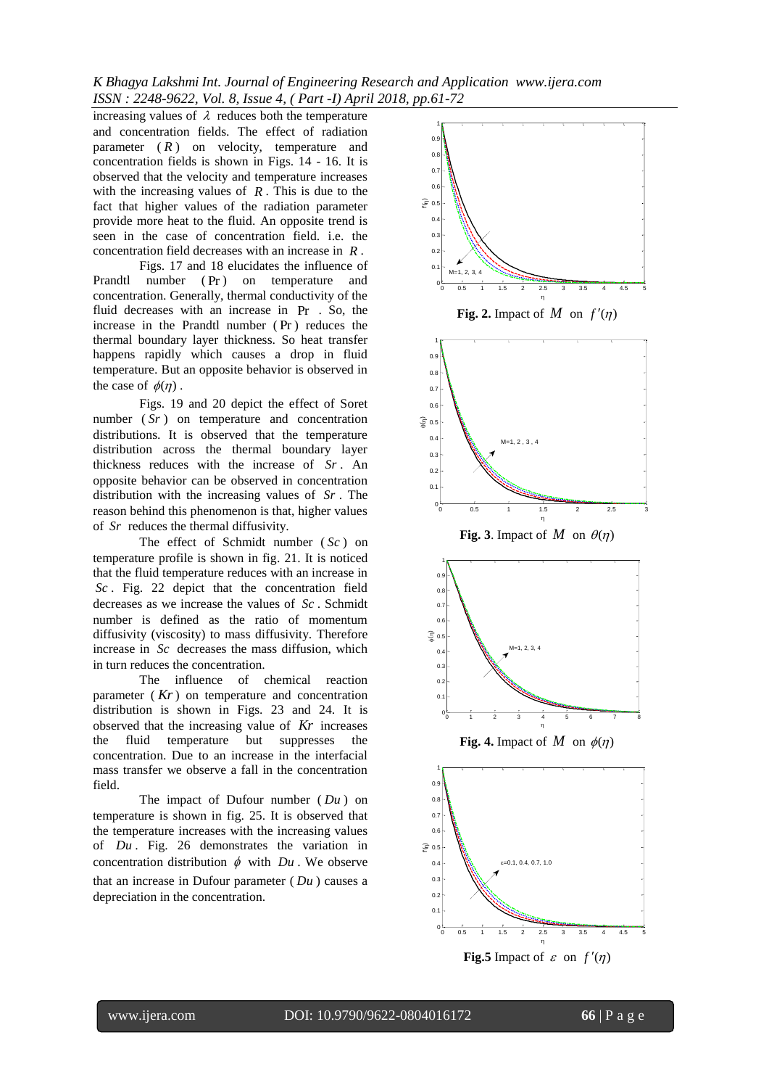*K Bhagya Lakshmi Int. Journal of Engineering Research and Application www.ijera.com ISSN : 2248-9622, Vol. 8, Issue 4, ( Part -I) April 2018, pp.61-72*

increasing values of  $\lambda$  reduces both the temperature and concentration fields. The effect of radiation parameter ( *R* ) on velocity, temperature and concentration fields is shown in Figs. 14 - 16. It is observed that the velocity and temperature increases with the increasing values of  $R$ . This is due to the fact that higher values of the radiation parameter provide more heat to the fluid. An opposite trend is seen in the case of concentration field. i.e. the concentration field decreases with an increase in *<sup>R</sup>* .

Figs. 17 and 18 elucidates the influence of Prandtl number ( Pr ) on temperature and concentration. Generally, thermal conductivity of the fluid decreases with an increase in Pr . So, the increase in the Prandtl number ( Pr ) reduces the thermal boundary layer thickness. So heat transfer happens rapidly which causes a drop in fluid temperature. But an opposite behavior is observed in the case of  $\phi(\eta)$ .

Figs. 19 and 20 depict the effect of Soret number ( *Sr* ) on temperature and concentration distributions. It is observed that the temperature distribution across the thermal boundary layer thickness reduces with the increase of *Sr .* An opposite behavior can be observed in concentration distribution with the increasing values of *Sr* . The reason behind this phenomenon is that, higher values of *Sr* reduces the thermal diffusivity.

The effect of Schmidt number ( *Sc* ) on temperature profile is shown in fig. 21. It is noticed that the fluid temperature reduces with an increase in *Sc* . Fig. 22 depict that the concentration field decreases as we increase the values of *Sc* . Schmidt number is defined as the ratio of momentum diffusivity (viscosity) to mass diffusivity. Therefore increase in *Sc* decreases the mass diffusion, which in turn reduces the concentration.

The influence of chemical reaction parameter ( *Kr* ) on temperature and concentration distribution is shown in Figs. 23 and 24. It is observed that the increasing value of *Kr* increases the fluid temperature but suppresses the concentration. Due to an increase in the interfacial mass transfer we observe a fall in the concentration field.

The impact of Dufour number  $(Du)$  on temperature is shown in fig. 25. It is observed that the temperature increases with the increasing values of *Du* . Fig. 26 demonstrates the variation in concentration distribution  $\phi$  with  $Du$ . We observe that an increase in Dufour parameter ( *Du* ) causes a depreciation in the concentration.

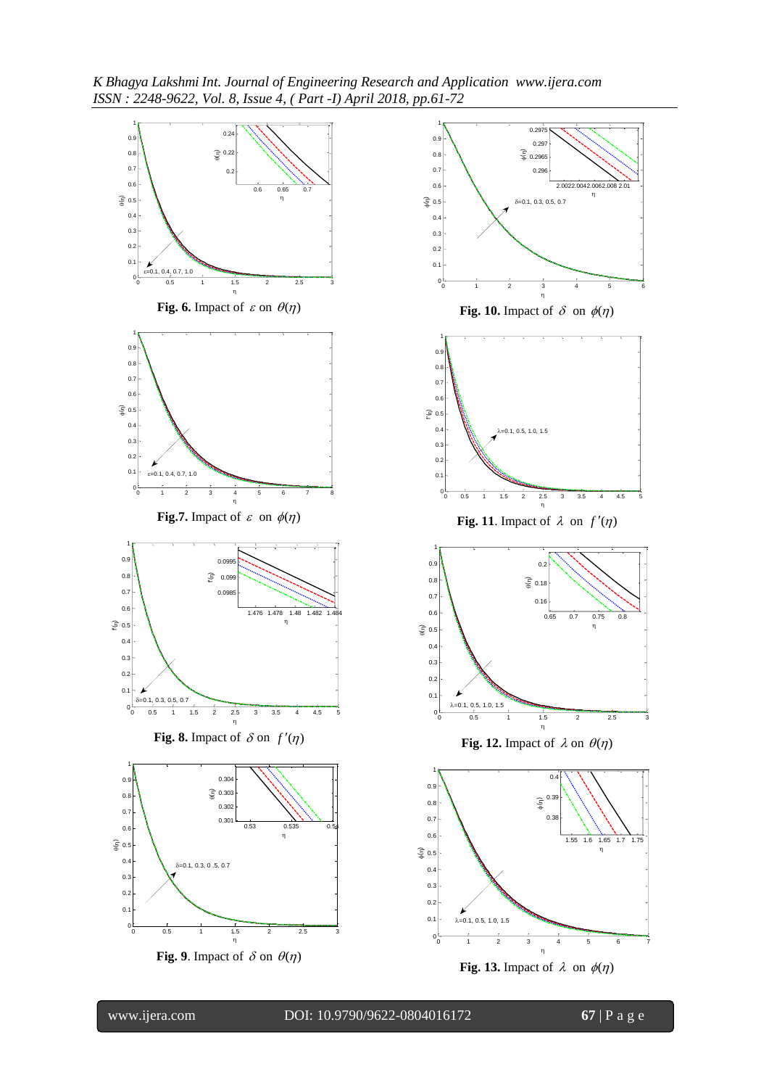*K Bhagya Lakshmi Int. Journal of Engineering Research and Application www.ijera.com ISSN : 2248-9622, Vol. 8, Issue 4, ( Part -I) April 2018, pp.61-72*

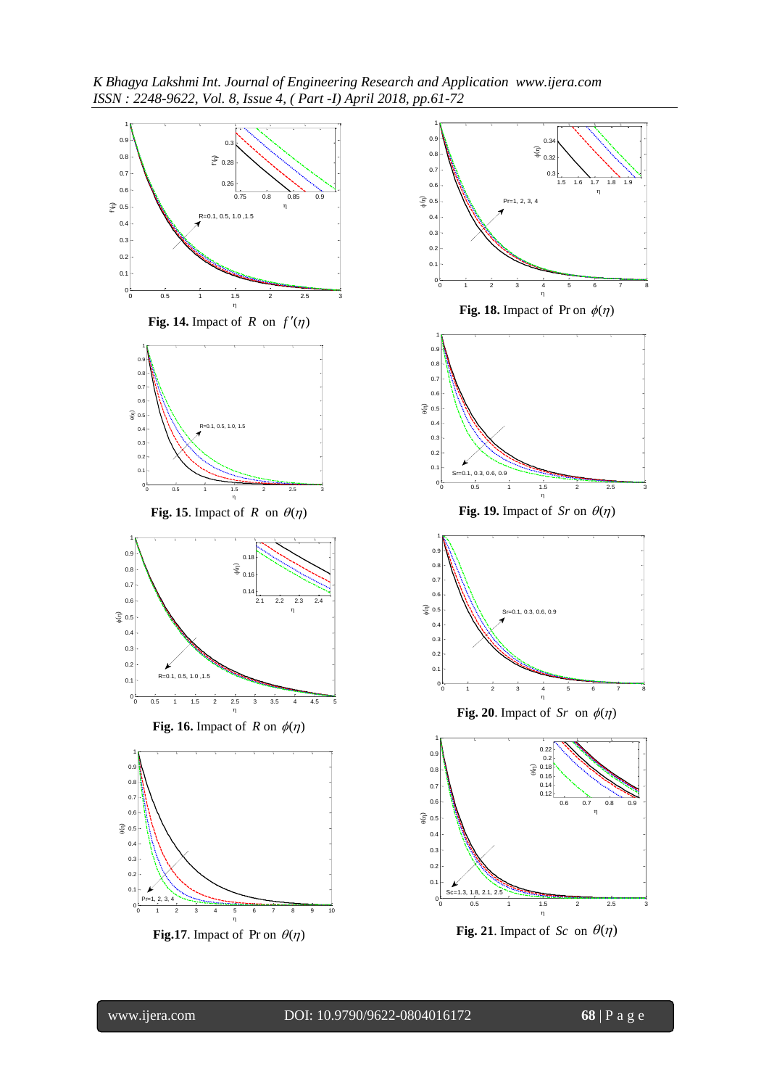*K Bhagya Lakshmi Int. Journal of Engineering Research and Application www.ijera.com ISSN : 2248-9622, Vol. 8, Issue 4, ( Part -I) April 2018, pp.61-72*

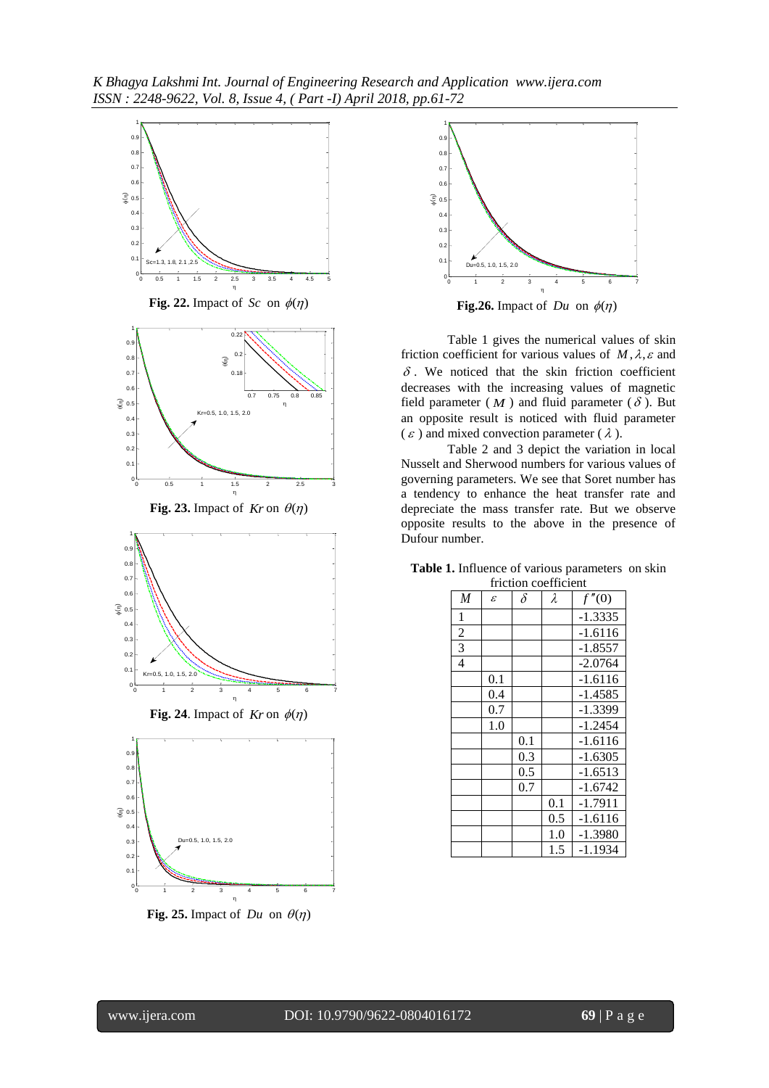*K Bhagya Lakshmi Int. Journal of Engineering Research and Application www.ijera.com ISSN : 2248-9622, Vol. 8, Issue 4, ( Part -I) April 2018, pp.61-72*



**Fig. 25.** Impact of  $Du$  on  $\theta(\eta)$ 



**Fig.26.** Impact of  $Du$  on  $\phi(\eta)$ 

Table 1 gives the numerical values of skin friction coefficient for various values of  $M$ ,  $\lambda$ ,  $\varepsilon$  and  $\delta$ . We noticed that the skin friction coefficient decreases with the increasing values of magnetic field parameter  $(M)$  and fluid parameter  $(\delta)$ . But an opposite result is noticed with fluid parameter  $(\varepsilon)$  and mixed convection parameter ( $\lambda$ ).

Table 2 and 3 depict the variation in local Nusselt and Sherwood numbers for various values of governing parameters. We see that Soret number has a tendency to enhance the heat transfer rate and depreciate the mass transfer rate. But we observe opposite results to the above in the presence of Dufour number.

| iriction coemicient |              |          |           |           |  |  |  |  |
|---------------------|--------------|----------|-----------|-----------|--|--|--|--|
| $\overline{M}$      | $\mathcal E$ | $\delta$ | $\lambda$ | f''(0)    |  |  |  |  |
| 1                   |              |          |           | $-1.3335$ |  |  |  |  |
| $\overline{2}$      |              |          |           | $-1.6116$ |  |  |  |  |
| 3                   |              |          |           | $-1.8557$ |  |  |  |  |
| $\overline{4}$      |              |          |           | $-2.0764$ |  |  |  |  |
|                     | 0.1          |          |           | $-1.6116$ |  |  |  |  |
|                     | 0.4          |          |           | -1.4585   |  |  |  |  |
|                     | 0.7          |          |           | -1.3399   |  |  |  |  |
|                     | 1.0          |          |           | $-1.2454$ |  |  |  |  |
|                     |              | 0.1      |           | $-1.6116$ |  |  |  |  |
|                     |              | 0.3      |           | $-1.6305$ |  |  |  |  |
|                     |              | 0.5      |           | $-1.6513$ |  |  |  |  |
|                     |              | 0.7      |           | $-1.6742$ |  |  |  |  |
|                     |              |          | 0.1       | $-1.7911$ |  |  |  |  |
|                     |              |          | 0.5       | $-1.6116$ |  |  |  |  |
|                     |              |          | 1.0       | $-1.3980$ |  |  |  |  |
|                     |              |          | 1.5       | $-1.1934$ |  |  |  |  |

**Table 1.** Influence of various parameters on skin friction coefficient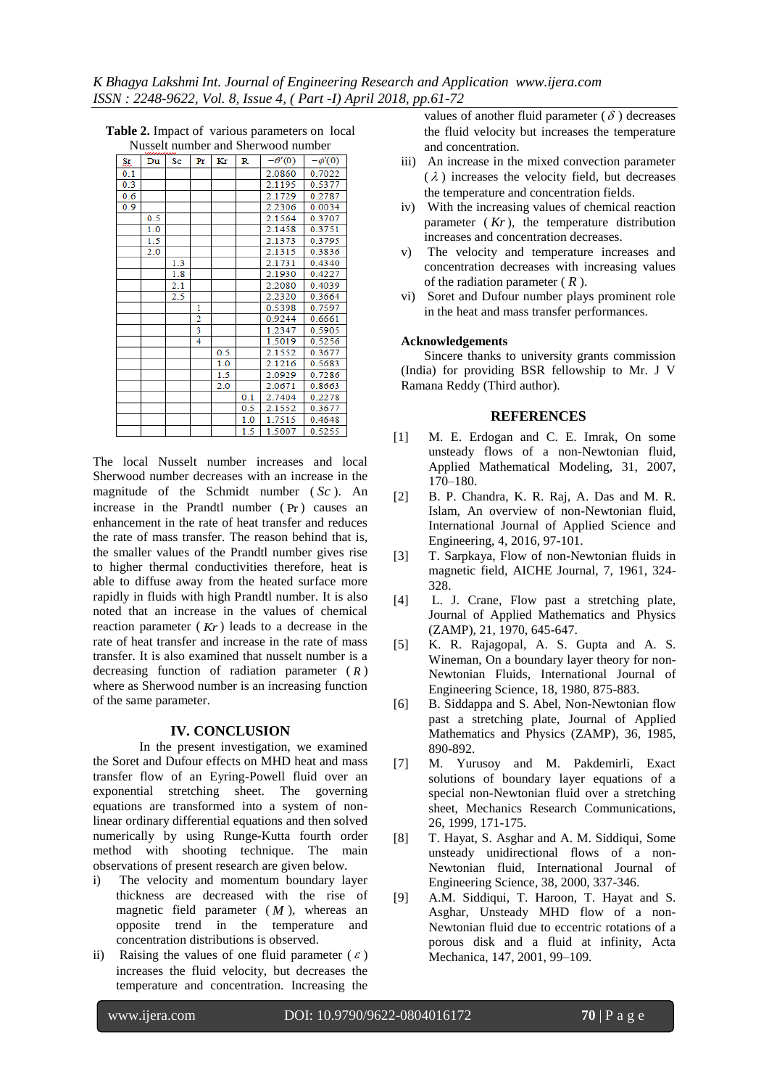| TVUSSUN HUHHOUT AHU SHUI WOOD HUHHOUT |     |           |                |     |     |               |             |
|---------------------------------------|-----|-----------|----------------|-----|-----|---------------|-------------|
| <u>Sr</u>                             | Du  | <b>Sc</b> | Pr             | Kr  | R   | $-\theta'(0)$ | $-\phi'(0)$ |
| 0.1                                   |     |           |                |     |     | 2.0860        | 0.7022      |
| 0.3                                   |     |           |                |     |     | 2.1195        | 0.5377      |
| 0.6                                   |     |           |                |     |     | 2.1729        | 0.2787      |
| 0.9                                   |     |           |                |     |     | 2.2306        | 0.0034      |
|                                       | 0.5 |           |                |     |     | 2.1564        | 0.3707      |
|                                       | 1.0 |           |                |     |     | 2.1458        | 0.3751      |
|                                       | 1.5 |           |                |     |     | 2.1373        | 0.3795      |
|                                       | 2.0 |           |                |     |     | 2.1315        | 0.3836      |
|                                       |     | 1.3       |                |     |     | 2.1731        | 0.4340      |
|                                       |     | 1.8       |                |     |     | 2.1930        | 0.4227      |
|                                       |     | 2.1       |                |     |     | 2.2080        | 0.4039      |
|                                       |     | 2.5       |                |     |     | 2.2320        | 0.3664      |
|                                       |     |           | 1              |     |     | 0.5398        | 0.7597      |
|                                       |     |           | $\overline{2}$ |     |     | 0.9244        | 0.6661      |
|                                       |     |           | 3              |     |     | 1.2347        | 0.5905      |
|                                       |     |           | 4              |     |     | 1.5019        | 0.5256      |
|                                       |     |           |                | 0.5 |     | 2.1552        | 0.3677      |
|                                       |     |           |                | 1.0 |     | 2.1216        | 0.5683      |
|                                       |     |           |                | 1.5 |     | 2.0929        | 0.7286      |
|                                       |     |           |                | 2.0 |     | 2.0671        | 0.8663      |
|                                       |     |           |                |     | 0.1 | 2.7404        | 0.2278      |
|                                       |     |           |                |     | 0.5 | 2.1552        | 0.3677      |
|                                       |     |           |                |     | 1.0 | 1.7515        | 0.4648      |
|                                       |     |           |                |     | 1.5 | 1.5007        | 0.5255      |

**Table 2.** Impact of various parameters on local Nusselt number and Sherwood number

The local Nusselt number increases and local Sherwood number decreases with an increase in the magnitude of the Schmidt number ( *Sc* ). An increase in the Prandtl number ( Pr ) causes an enhancement in the rate of heat transfer and reduces the rate of mass transfer. The reason behind that is, the smaller values of the Prandtl number gives rise to higher thermal conductivities therefore, heat is able to diffuse away from the heated surface more rapidly in fluids with high Prandtl number. It is also noted that an increase in the values of chemical reaction parameter ( *Kr* ) leads to a decrease in the rate of heat transfer and increase in the rate of mass transfer. It is also examined that nusselt number is a decreasing function of radiation parameter ( *R* ) where as Sherwood number is an increasing function of the same parameter.

#### **IV. CONCLUSION**

In the present investigation, we examined the Soret and Dufour effects on MHD heat and mass transfer flow of an Eyring-Powell fluid over an exponential stretching sheet. The governing equations are transformed into a system of nonlinear ordinary differential equations and then solved numerically by using Runge-Kutta fourth order method with shooting technique. The main observations of present research are given below.

- i) The velocity and momentum boundary layer thickness are decreased with the rise of magnetic field parameter  $(M)$ , whereas an opposite trend in the temperature and concentration distributions is observed.
- ii) Raising the values of one fluid parameter  $(\varepsilon)$ increases the fluid velocity, but decreases the temperature and concentration. Increasing the

values of another fluid parameter  $(\delta)$  decreases the fluid velocity but increases the temperature and concentration.

- iii) An increase in the mixed convection parameter  $(\lambda)$  increases the velocity field, but decreases the temperature and concentration fields.
- iv) With the increasing values of chemical reaction parameter ( *Kr* ), the temperature distribution increases and concentration decreases.
- v) The velocity and temperature increases and concentration decreases with increasing values of the radiation parameter ( *R* ).
- vi) Soret and Dufour number plays prominent role in the heat and mass transfer performances.

#### **Acknowledgements**

Sincere thanks to university grants commission (India) for providing BSR fellowship to Mr. J V Ramana Reddy (Third author).

#### **REFERENCES**

- [1] M. E. Erdogan and C. E. Imrak, On some unsteady flows of a non-Newtonian fluid, Applied Mathematical Modeling, 31, 2007, 170–180.
- [2] B. P. Chandra, K. R. Raj, A. Das and M. R. Islam, An overview of non-Newtonian fluid, International Journal of Applied Science and Engineering, 4, 2016, 97-101.
- [3] T. Sarpkaya, Flow of non-Newtonian fluids in magnetic field, AICHE Journal, 7, 1961, 324- 328.
- [4] L. J. Crane, Flow past a stretching plate, Journal of Applied Mathematics and Physics (ZAMP), 21, 1970, 645-647.
- [5] K. R. Rajagopal, A. S. Gupta and A. S. Wineman, On a boundary layer theory for non-Newtonian Fluids, International Journal of Engineering Science, 18, 1980, 875-883.
- [6] B. Siddappa and S. Abel, Non-Newtonian flow past a stretching plate, Journal of Applied Mathematics and Physics (ZAMP), 36, 1985, 890-892.
- [7] M. Yurusoy and M. Pakdemirli, Exact solutions of boundary layer equations of a special non-Newtonian fluid over a stretching sheet, Mechanics Research Communications, 26, 1999, 171-175.
- [8] T. Hayat, S. Asghar and A. M. Siddiqui, Some unsteady unidirectional flows of a non-Newtonian fluid, International Journal of Engineering Science, 38, 2000, 337-346.
- [9] A.M. Siddiqui, T. Haroon, T. Hayat and S. Asghar, Unsteady MHD flow of a non-Newtonian fluid due to eccentric rotations of a porous disk and a fluid at infinity, Acta Mechanica, 147, 2001, 99–109.